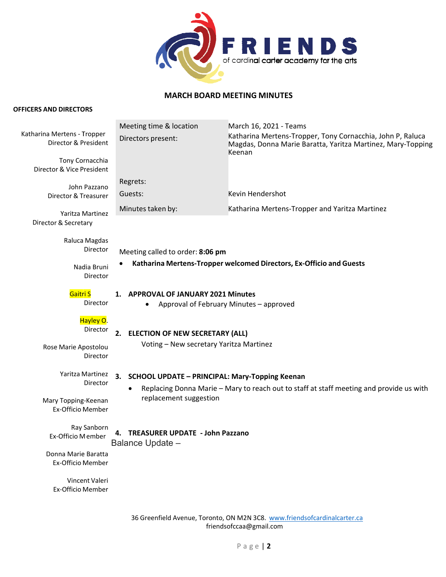

## **MARCH BOARD MEETING MINUTES**

## **OFFICERS AND DIRECTORS**

|                                                     | Meeting time & location                                                                  | March 16, 2021 - Teams                                                                                                              |  |  |  |
|-----------------------------------------------------|------------------------------------------------------------------------------------------|-------------------------------------------------------------------------------------------------------------------------------------|--|--|--|
| Katharina Mertens - Tropper<br>Director & President | Directors present:                                                                       | Katharina Mertens-Tropper, Tony Cornacchia, John P, Raluca<br>Magdas, Donna Marie Baratta, Yaritza Martinez, Mary-Topping<br>Keenan |  |  |  |
| Tony Cornacchia<br>Director & Vice President        |                                                                                          |                                                                                                                                     |  |  |  |
| John Pazzano                                        | Regrets:                                                                                 |                                                                                                                                     |  |  |  |
| Director & Treasurer                                | Guests:                                                                                  | Kevin Hendershot                                                                                                                    |  |  |  |
| Yaritza Martinez<br>Director & Secretary            | Minutes taken by:                                                                        | Katharina Mertens-Tropper and Yaritza Martinez                                                                                      |  |  |  |
| Raluca Magdas<br>Director                           | Meeting called to order: 8:06 pm                                                         |                                                                                                                                     |  |  |  |
| Nadia Bruni<br>Director                             | Katharina Mertens-Tropper welcomed Directors, Ex-Officio and Guests                      |                                                                                                                                     |  |  |  |
| Gaitri S<br>Director                                | <b>APPROVAL OF JANUARY 2021 Minutes</b><br>1.<br>Approval of February Minutes - approved |                                                                                                                                     |  |  |  |
| Hayley O.<br>Director                               | 2.<br><b>ELECTION OF NEW SECRETARY (ALL)</b>                                             |                                                                                                                                     |  |  |  |
| Rose Marie Apostolou<br>Director                    | Voting - New secretary Yaritza Martinez                                                  |                                                                                                                                     |  |  |  |
| Yaritza Martinez                                    | 3.<br><b>SCHOOL UPDATE - PRINCIPAL: Mary-Topping Keenan</b>                              |                                                                                                                                     |  |  |  |
| Director                                            |                                                                                          | Replacing Donna Marie - Mary to reach out to staff at staff meeting and provide us with                                             |  |  |  |
| Mary Topping-Keenan<br>Ex-Officio Member            | replacement suggestion                                                                   |                                                                                                                                     |  |  |  |
| Ray Sanborn<br>Ex-Officio Member                    | <b>TREASURER UPDATE - John Pazzano</b><br>Balance Update -                               |                                                                                                                                     |  |  |  |
| Donna Marie Baratta<br><b>Ex-Officio Member</b>     |                                                                                          |                                                                                                                                     |  |  |  |
| Vincent Valeri<br><b>Ex-Officio Member</b>          |                                                                                          |                                                                                                                                     |  |  |  |

36 Greenfield Avenue, Toronto, ON M2N 3C8. www.friendsofcardinalcarter.ca friendsofccaa@gmail.com